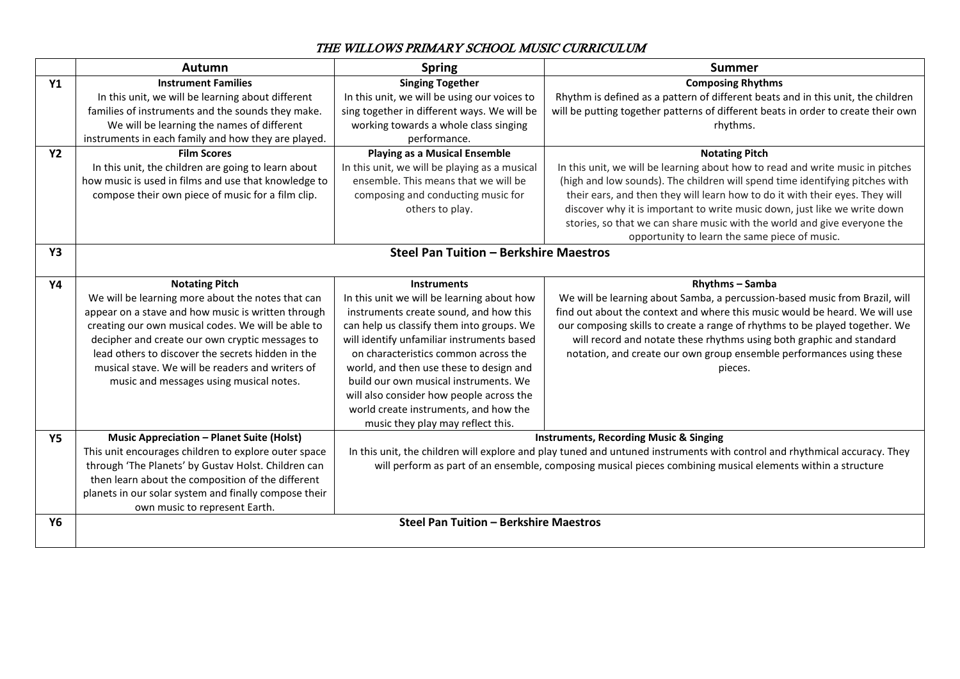## THE WILLOWS PRIMARY SCHOOL MUSIC CURRICULUM

|                | Autumn                                                | <b>Spring</b>                                                                                                             | <b>Summer</b>                                                                     |  |  |  |  |  |  |
|----------------|-------------------------------------------------------|---------------------------------------------------------------------------------------------------------------------------|-----------------------------------------------------------------------------------|--|--|--|--|--|--|
| <b>Y1</b>      | <b>Instrument Families</b>                            | <b>Singing Together</b>                                                                                                   | <b>Composing Rhythms</b>                                                          |  |  |  |  |  |  |
|                | In this unit, we will be learning about different     | In this unit, we will be using our voices to                                                                              | Rhythm is defined as a pattern of different beats and in this unit, the children  |  |  |  |  |  |  |
|                | families of instruments and the sounds they make.     | sing together in different ways. We will be                                                                               | will be putting together patterns of different beats in order to create their own |  |  |  |  |  |  |
|                | We will be learning the names of different            | working towards a whole class singing                                                                                     | rhythms.                                                                          |  |  |  |  |  |  |
|                | instruments in each family and how they are played.   | performance.                                                                                                              |                                                                                   |  |  |  |  |  |  |
| <b>Y2</b>      | <b>Film Scores</b>                                    | <b>Playing as a Musical Ensemble</b>                                                                                      | <b>Notating Pitch</b>                                                             |  |  |  |  |  |  |
|                | In this unit, the children are going to learn about   | In this unit, we will be playing as a musical                                                                             | In this unit, we will be learning about how to read and write music in pitches    |  |  |  |  |  |  |
|                | how music is used in films and use that knowledge to  | ensemble. This means that we will be                                                                                      | (high and low sounds). The children will spend time identifying pitches with      |  |  |  |  |  |  |
|                | compose their own piece of music for a film clip.     | composing and conducting music for                                                                                        | their ears, and then they will learn how to do it with their eyes. They will      |  |  |  |  |  |  |
|                |                                                       | others to play.                                                                                                           | discover why it is important to write music down, just like we write down         |  |  |  |  |  |  |
|                |                                                       |                                                                                                                           | stories, so that we can share music with the world and give everyone the          |  |  |  |  |  |  |
|                |                                                       |                                                                                                                           | opportunity to learn the same piece of music.                                     |  |  |  |  |  |  |
| Y <sub>3</sub> | <b>Steel Pan Tuition - Berkshire Maestros</b>         |                                                                                                                           |                                                                                   |  |  |  |  |  |  |
|                |                                                       |                                                                                                                           |                                                                                   |  |  |  |  |  |  |
| Y4             | <b>Notating Pitch</b>                                 | <b>Instruments</b>                                                                                                        | Rhythms - Samba                                                                   |  |  |  |  |  |  |
|                | We will be learning more about the notes that can     | In this unit we will be learning about how                                                                                | We will be learning about Samba, a percussion-based music from Brazil, will       |  |  |  |  |  |  |
|                | appear on a stave and how music is written through    | instruments create sound, and how this                                                                                    | find out about the context and where this music would be heard. We will use       |  |  |  |  |  |  |
|                | creating our own musical codes. We will be able to    | can help us classify them into groups. We                                                                                 | our composing skills to create a range of rhythms to be played together. We       |  |  |  |  |  |  |
|                | decipher and create our own cryptic messages to       | will identify unfamiliar instruments based                                                                                | will record and notate these rhythms using both graphic and standard              |  |  |  |  |  |  |
|                | lead others to discover the secrets hidden in the     | on characteristics common across the                                                                                      | notation, and create our own group ensemble performances using these              |  |  |  |  |  |  |
|                | musical stave. We will be readers and writers of      | world, and then use these to design and                                                                                   | pieces.                                                                           |  |  |  |  |  |  |
|                | music and messages using musical notes.               | build our own musical instruments. We                                                                                     |                                                                                   |  |  |  |  |  |  |
|                |                                                       | will also consider how people across the                                                                                  |                                                                                   |  |  |  |  |  |  |
|                |                                                       | world create instruments, and how the                                                                                     |                                                                                   |  |  |  |  |  |  |
|                |                                                       | music they play may reflect this.                                                                                         |                                                                                   |  |  |  |  |  |  |
| <b>Y5</b>      | <b>Music Appreciation - Planet Suite (Holst)</b>      | <b>Instruments, Recording Music &amp; Singing</b>                                                                         |                                                                                   |  |  |  |  |  |  |
|                | This unit encourages children to explore outer space  | In this unit, the children will explore and play tuned and untuned instruments with control and rhythmical accuracy. They |                                                                                   |  |  |  |  |  |  |
|                | through 'The Planets' by Gustav Holst. Children can   | will perform as part of an ensemble, composing musical pieces combining musical elements within a structure               |                                                                                   |  |  |  |  |  |  |
|                | then learn about the composition of the different     |                                                                                                                           |                                                                                   |  |  |  |  |  |  |
|                | planets in our solar system and finally compose their |                                                                                                                           |                                                                                   |  |  |  |  |  |  |
|                | own music to represent Earth.                         |                                                                                                                           |                                                                                   |  |  |  |  |  |  |
| <b>Y6</b>      | Steel Pan Tuition - Berkshire Maestros                |                                                                                                                           |                                                                                   |  |  |  |  |  |  |
|                |                                                       |                                                                                                                           |                                                                                   |  |  |  |  |  |  |